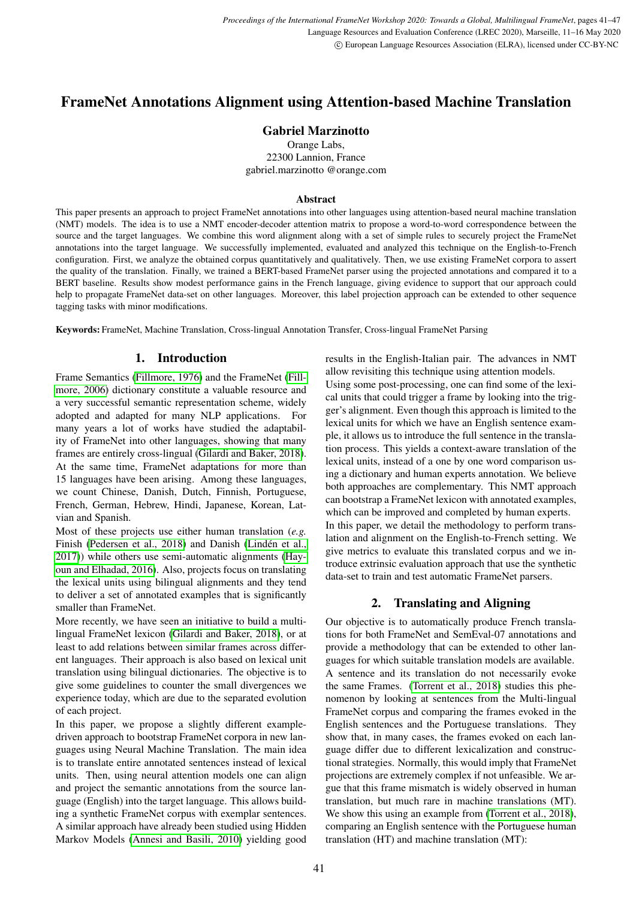# FrameNet Annotations Alignment using Attention-based Machine Translation

# Gabriel Marzinotto

Orange Labs, 22300 Lannion, France gabriel.marzinotto @orange.com

#### Abstract

This paper presents an approach to project FrameNet annotations into other languages using attention-based neural machine translation (NMT) models. The idea is to use a NMT encoder-decoder attention matrix to propose a word-to-word correspondence between the source and the target languages. We combine this word alignment along with a set of simple rules to securely project the FrameNet annotations into the target language. We successfully implemented, evaluated and analyzed this technique on the English-to-French configuration. First, we analyze the obtained corpus quantitatively and qualitatively. Then, we use existing FrameNet corpora to assert the quality of the translation. Finally, we trained a BERT-based FrameNet parser using the projected annotations and compared it to a BERT baseline. Results show modest performance gains in the French language, giving evidence to support that our approach could help to propagate FrameNet data-set on other languages. Moreover, this label projection approach can be extended to other sequence tagging tasks with minor modifications.

Keywords: FrameNet, Machine Translation, Cross-lingual Annotation Transfer, Cross-lingual FrameNet Parsing

## 1. Introduction

Frame Semantics [\(Fillmore, 1976\)](#page-6-0) and the FrameNet [\(Fill](#page-6-1)[more, 2006\)](#page-6-1) dictionary constitute a valuable resource and a very successful semantic representation scheme, widely adopted and adapted for many NLP applications. For many years a lot of works have studied the adaptability of FrameNet into other languages, showing that many frames are entirely cross-lingual [\(Gilardi and Baker, 2018\)](#page-6-2). At the same time, FrameNet adaptations for more than 15 languages have been arising. Among these languages, we count Chinese, Danish, Dutch, Finnish, Portuguese, French, German, Hebrew, Hindi, Japanese, Korean, Latvian and Spanish.

Most of these projects use either human translation (*e.g.* Finish [\(Pedersen et al., 2018\)](#page-6-3) and Danish (Lindén et al., [2017\)](#page-6-4)) while others use semi-automatic alignments [\(Hay](#page-6-5)[oun and Elhadad, 2016\)](#page-6-5). Also, projects focus on translating the lexical units using bilingual alignments and they tend to deliver a set of annotated examples that is significantly smaller than FrameNet.

More recently, we have seen an initiative to build a multilingual FrameNet lexicon [\(Gilardi and Baker, 2018\)](#page-6-2), or at least to add relations between similar frames across different languages. Their approach is also based on lexical unit translation using bilingual dictionaries. The objective is to give some guidelines to counter the small divergences we experience today, which are due to the separated evolution of each project.

In this paper, we propose a slightly different exampledriven approach to bootstrap FrameNet corpora in new languages using Neural Machine Translation. The main idea is to translate entire annotated sentences instead of lexical units. Then, using neural attention models one can align and project the semantic annotations from the source language (English) into the target language. This allows building a synthetic FrameNet corpus with exemplar sentences. A similar approach have already been studied using Hidden Markov Models [\(Annesi and Basili, 2010\)](#page-6-6) yielding good results in the English-Italian pair. The advances in NMT allow revisiting this technique using attention models. Using some post-processing, one can find some of the lexical units that could trigger a frame by looking into the trigger's alignment. Even though this approach is limited to the lexical units for which we have an English sentence example, it allows us to introduce the full sentence in the translation process. This yields a context-aware translation of the lexical units, instead of a one by one word comparison using a dictionary and human experts annotation. We believe both approaches are complementary. This NMT approach can bootstrap a FrameNet lexicon with annotated examples, which can be improved and completed by human experts. In this paper, we detail the methodology to perform translation and alignment on the English-to-French setting. We give metrics to evaluate this translated corpus and we introduce extrinsic evaluation approach that use the synthetic data-set to train and test automatic FrameNet parsers.

# 2. Translating and Aligning

Our objective is to automatically produce French translations for both FrameNet and SemEval-07 annotations and provide a methodology that can be extended to other languages for which suitable translation models are available. A sentence and its translation do not necessarily evoke the same Frames. [\(Torrent et al., 2018\)](#page-6-7) studies this phenomenon by looking at sentences from the Multi-lingual FrameNet corpus and comparing the frames evoked in the English sentences and the Portuguese translations. They show that, in many cases, the frames evoked on each language differ due to different lexicalization and constructional strategies. Normally, this would imply that FrameNet projections are extremely complex if not unfeasible. We argue that this frame mismatch is widely observed in human translation, but much rare in machine translations (MT). We show this using an example from [\(Torrent et al., 2018\)](#page-6-7), comparing an English sentence with the Portuguese human translation (HT) and machine translation (MT):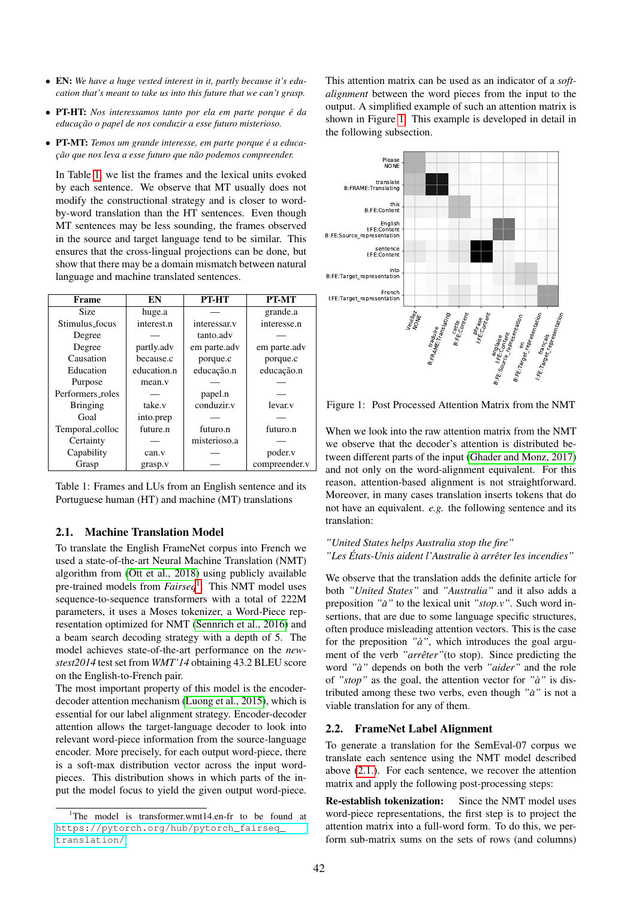- EN: *We have a huge vested interest in it, partly because it's education that's meant to take us into this future that we can't grasp.*
- PT-HT: *Nos interessamos tanto por ela em parte porque e da ´*  $educação$  o papel de nos conduzir a esse futuro misterioso.
- PT-MT: *Temos um grande interesse, em parte porque e a educa- ´ c¸ao que nos leva a esse futuro que n ˜ ao podemos compreender. ˜*

In Table [1,](#page-1-0) we list the frames and the lexical units evoked by each sentence. We observe that MT usually does not modify the constructional strategy and is closer to wordby-word translation than the HT sentences. Even though MT sentences may be less sounding, the frames observed in the source and target language tend to be similar. This ensures that the cross-lingual projections can be done, but show that there may be a domain mismatch between natural language and machine translated sentences.

| Frame            | EN          | PT-HT        | PT-MT         |
|------------------|-------------|--------------|---------------|
| Size             | huge.a      |              | grande.a      |
| Stimulus_focus   | interest.n  | interessar.v | interesse.n   |
| Degree           |             | tanto.adv    |               |
| Degree           | partly.adv  | em parte.adv | em parte.adv  |
| Causation        | because.c   | porque.c     | porque.c      |
| Education        | education.n | educação.n   | educação.n    |
| Purpose          | mean.v      |              |               |
| Performers_roles |             | papel.n      |               |
| <b>Bringing</b>  | take.v      | conduzir.v   | levar.v       |
| Goal             | into.prep   |              |               |
| Temporal_colloc  | future.n    | futuro.n     | futuro.n      |
| Certainty        |             | misterioso.a |               |
| Capability       | can.v       |              | poder.v       |
| Grasp            | grasp.v     |              | compreender.v |

<span id="page-1-0"></span>Table 1: Frames and LUs from an English sentence and its Portuguese human (HT) and machine (MT) translations

#### <span id="page-1-3"></span>2.1. Machine Translation Model

To translate the English FrameNet corpus into French we used a state-of-the-art Neural Machine Translation (NMT) algorithm from [\(Ott et al., 2018\)](#page-6-8) using publicly available pre-trained models from *Fairseq*[1](#page-1-1) . This NMT model uses sequence-to-sequence transformers with a total of 222M parameters, it uses a Moses tokenizer, a Word-Piece representation optimized for NMT [\(Sennrich et al., 2016\)](#page-6-9) and a beam search decoding strategy with a depth of 5. The model achieves state-of-the-art performance on the *newstest2014* test set from *WMT'14* obtaining 43.2 BLEU score on the English-to-French pair.

The most important property of this model is the encoderdecoder attention mechanism [\(Luong et al., 2015\)](#page-6-10), which is essential for our label alignment strategy. Encoder-decoder attention allows the target-language decoder to look into relevant word-piece information from the source-language encoder. More precisely, for each output word-piece, there is a soft-max distribution vector across the input wordpieces. This distribution shows in which parts of the input the model focus to yield the given output word-piece. This attention matrix can be used as an indicator of a *softalignment* between the word pieces from the input to the output. A simplified example of such an attention matrix is shown in Figure [1.](#page-1-2) This example is developed in detail in the following subsection.



<span id="page-1-2"></span>Figure 1: Post Processed Attention Matrix from the NMT

When we look into the raw attention matrix from the NMT we observe that the decoder's attention is distributed between different parts of the input [\(Ghader and Monz, 2017\)](#page-6-11) and not only on the word-alignment equivalent. For this reason, attention-based alignment is not straightforward. Moreover, in many cases translation inserts tokens that do not have an equivalent. *e.g.* the following sentence and its translation:

## *"United States helps Australia stop the fire" "Les Etats-Unis aident l'Australie ´ a arr ` eter les incendies" ˆ*

We observe that the translation adds the definite article for both *"United States"* and *"Australia"* and it also adds a preposition *"a"`* to the lexical unit *"stop.v"*. Such word insertions, that are due to some language specific structures, often produce misleading attention vectors. This is the case for the preposition "à", which introduces the goal argument of the verb "arrêter" (to stop). Since predicting the word *"a"`* depends on both the verb *"aider"* and the role of *"stop"* as the goal, the attention vector for *"a"`* is distributed among these two verbs, even though *"a"`* is not a viable translation for any of them.

### <span id="page-1-4"></span>2.2. FrameNet Label Alignment

To generate a translation for the SemEval-07 corpus we translate each sentence using the NMT model described above [\(2.1.\)](#page-1-3). For each sentence, we recover the attention matrix and apply the following post-processing steps:

Re-establish tokenization: Since the NMT model uses word-piece representations, the first step is to project the attention matrix into a full-word form. To do this, we perform sub-matrix sums on the sets of rows (and columns)

<span id="page-1-1"></span><sup>&</sup>lt;sup>1</sup>The model is transformer.wmt14.en-fr to be found at [https://pytorch.org/hub/pytorch\\_fairseq\\_](https://pytorch.org/hub/pytorch_fairseq_translation/) [translation/](https://pytorch.org/hub/pytorch_fairseq_translation/)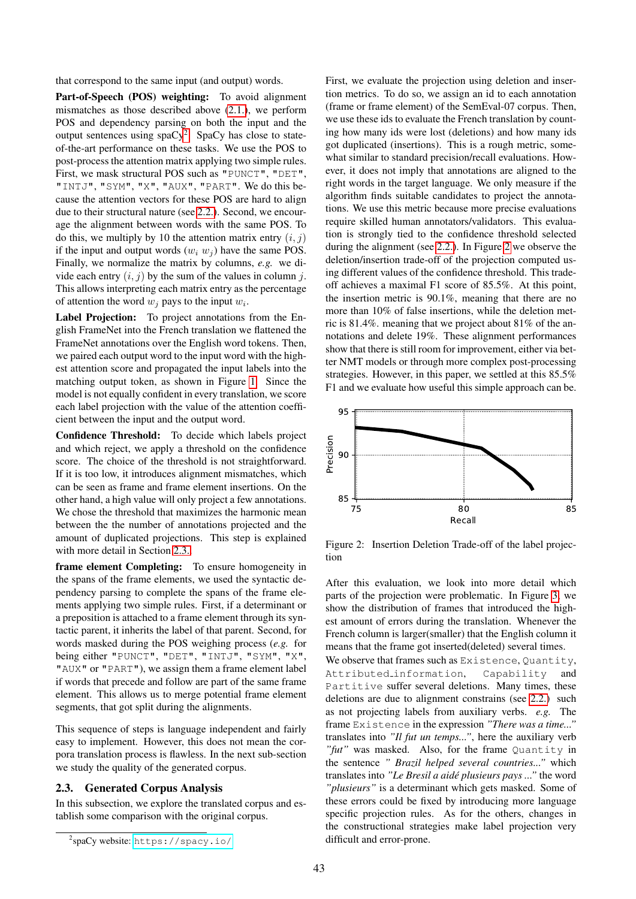that correspond to the same input (and output) words.

Part-of-Speech (POS) weighting: To avoid alignment mismatches as those described above [\(2.1.\)](#page-1-3), we perform POS and dependency parsing on both the input and the output sentences using  $spaCy^2$  $spaCy^2$ . SpaCy has close to stateof-the-art performance on these tasks. We use the POS to post-process the attention matrix applying two simple rules. First, we mask structural POS such as "PUNCT", "DET", "INTJ", "SYM", "X", "AUX", "PART". We do this because the attention vectors for these POS are hard to align due to their structural nature (see [2.2.\)](#page-1-4). Second, we encourage the alignment between words with the same POS. To do this, we multiply by 10 the attention matrix entry  $(i, j)$ if the input and output words  $(w_i w_j)$  have the same POS. Finally, we normalize the matrix by columns, *e.g.* we divide each entry  $(i, j)$  by the sum of the values in column  $j$ . This allows interpreting each matrix entry as the percentage of attention the word  $w_j$  pays to the input  $w_i$ .

Label Projection: To project annotations from the English FrameNet into the French translation we flattened the FrameNet annotations over the English word tokens. Then, we paired each output word to the input word with the highest attention score and propagated the input labels into the matching output token, as shown in Figure [1.](#page-1-2) Since the model is not equally confident in every translation, we score each label projection with the value of the attention coefficient between the input and the output word.

Confidence Threshold: To decide which labels project and which reject, we apply a threshold on the confidence score. The choice of the threshold is not straightforward. If it is too low, it introduces alignment mismatches, which can be seen as frame and frame element insertions. On the other hand, a high value will only project a few annotations. We chose the threshold that maximizes the harmonic mean between the the number of annotations projected and the amount of duplicated projections. This step is explained with more detail in Section [2.3..](#page-2-1)

frame element Completing: To ensure homogeneity in the spans of the frame elements, we used the syntactic dependency parsing to complete the spans of the frame elements applying two simple rules. First, if a determinant or a preposition is attached to a frame element through its syntactic parent, it inherits the label of that parent. Second, for words masked during the POS weighing process (*e.g.* for being either "PUNCT", "DET", "INTJ", "SYM", "X", "AUX" or "PART"), we assign them a frame element label if words that precede and follow are part of the same frame element. This allows us to merge potential frame element segments, that got split during the alignments.

This sequence of steps is language independent and fairly easy to implement. However, this does not mean the corpora translation process is flawless. In the next sub-section we study the quality of the generated corpus.

# <span id="page-2-1"></span>2.3. Generated Corpus Analysis

In this subsection, we explore the translated corpus and establish some comparison with the original corpus.

First, we evaluate the projection using deletion and insertion metrics. To do so, we assign an id to each annotation (frame or frame element) of the SemEval-07 corpus. Then, we use these ids to evaluate the French translation by counting how many ids were lost (deletions) and how many ids got duplicated (insertions). This is a rough metric, somewhat similar to standard precision/recall evaluations. However, it does not imply that annotations are aligned to the right words in the target language. We only measure if the algorithm finds suitable candidates to project the annotations. We use this metric because more precise evaluations require skilled human annotators/validators. This evaluation is strongly tied to the confidence threshold selected during the alignment (see [2.2.\)](#page-1-4). In Figure [2](#page-2-2) we observe the deletion/insertion trade-off of the projection computed using different values of the confidence threshold. This tradeoff achieves a maximal F1 score of 85.5%. At this point, the insertion metric is 90.1%, meaning that there are no more than 10% of false insertions, while the deletion metric is 81.4%. meaning that we project about 81% of the annotations and delete 19%. These alignment performances show that there is still room for improvement, either via better NMT models or through more complex post-processing strategies. However, in this paper, we settled at this 85.5% F1 and we evaluate how useful this simple approach can be.



<span id="page-2-2"></span>Figure 2: Insertion Deletion Trade-off of the label projection

After this evaluation, we look into more detail which parts of the projection were problematic. In Figure [3,](#page-3-0) we show the distribution of frames that introduced the highest amount of errors during the translation. Whenever the French column is larger(smaller) that the English column it means that the frame got inserted(deleted) several times.

We observe that frames such as Existence, Quantity, Attributed information, Capability and Partitive suffer several deletions. Many times, these deletions are due to alignment constrains (see [2.2.\)](#page-1-4) such as not projecting labels from auxiliary verbs. *e.g.* The frame Existence in the expression *"There was a time..."* translates into *"Il fut un temps..."*, here the auxiliary verb *"fut"* was masked. Also, for the frame Quantity in the sentence *" Brazil helped several countries..."* which translates into "Le Bresil a aidé plusieurs pays ..." the word *"plusieurs"* is a determinant which gets masked. Some of these errors could be fixed by introducing more language specific projection rules. As for the others, changes in the constructional strategies make label projection very difficult and error-prone.

<span id="page-2-0"></span><sup>2</sup> spaCy website: <https://spacy.io/>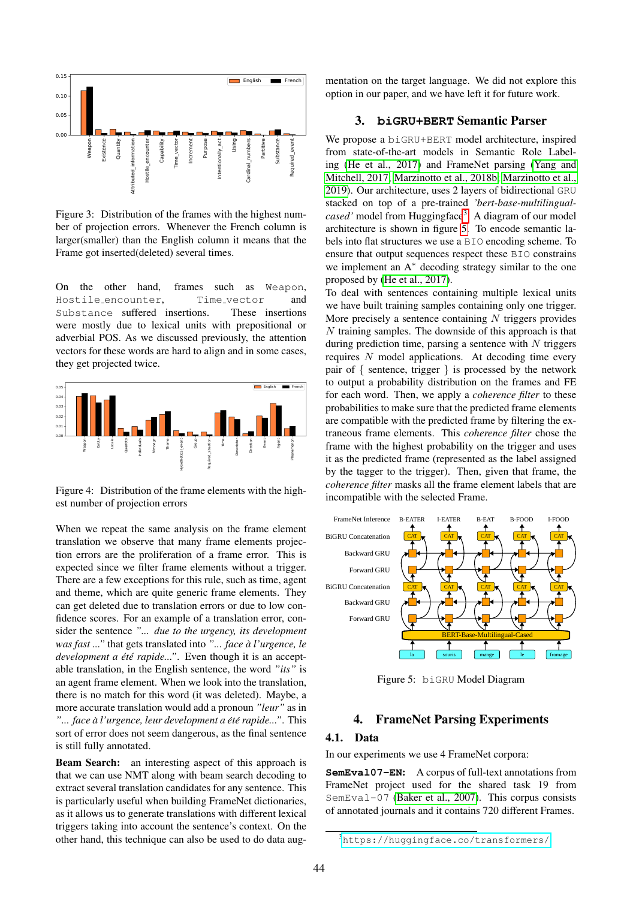

<span id="page-3-0"></span>Figure 3: Distribution of the frames with the highest number of projection errors. Whenever the French column is larger(smaller) than the English column it means that the Frame got inserted(deleted) several times.

On the other hand, frames such as Weapon, Hostile encounter, Time vector and Substance suffered insertions. These insertions were mostly due to lexical units with prepositional or adverbial POS. As we discussed previously, the attention vectors for these words are hard to align and in some cases, they get projected twice.



Figure 4: Distribution of the frame elements with the highest number of projection errors

When we repeat the same analysis on the frame element translation we observe that many frame elements projection errors are the proliferation of a frame error. This is expected since we filter frame elements without a trigger. There are a few exceptions for this rule, such as time, agent and theme, which are quite generic frame elements. They can get deleted due to translation errors or due to low confidence scores. For an example of a translation error, consider the sentence *"... due to the urgency, its development was fast ..."* that gets translated into *"... face a l'urgence, le ` development a été rapide..."*. Even though it is an acceptable translation, in the English sentence, the word *"its"* is an agent frame element. When we look into the translation, there is no match for this word (it was deleted). Maybe, a more accurate translation would add a pronoun *"leur"* as in *"... face a l'urgence, leur development a ` et´ e rapide..." ´* . This sort of error does not seem dangerous, as the final sentence is still fully annotated.

Beam Search: an interesting aspect of this approach is that we can use NMT along with beam search decoding to extract several translation candidates for any sentence. This is particularly useful when building FrameNet dictionaries, as it allows us to generate translations with different lexical triggers taking into account the sentence's context. On the other hand, this technique can also be used to do data augmentation on the target language. We did not explore this option in our paper, and we have left it for future work.

### 3. **biGRU+BERT** Semantic Parser

We propose a biGRU+BERT model architecture, inspired from state-of-the-art models in Semantic Role Labeling [\(He et al., 2017\)](#page-6-12) and FrameNet parsing [\(Yang and](#page-6-13) [Mitchell, 2017;](#page-6-13) [Marzinotto et al., 2018b;](#page-6-14) [Marzinotto et al.,](#page-6-15) [2019\)](#page-6-15). Our architecture, uses 2 layers of bidirectional GRU stacked on top of a pre-trained *'bert-base-multilingual-*cased' model from Huggingface<sup>[3](#page-3-1)</sup>. A diagram of our model architecture is shown in figure [5.](#page-3-2) To encode semantic labels into flat structures we use a BIO encoding scheme. To ensure that output sequences respect these BIO constrains we implement an A<sup>∗</sup> decoding strategy similar to the one proposed by [\(He et al., 2017\)](#page-6-12).

To deal with sentences containing multiple lexical units we have built training samples containing only one trigger. More precisely a sentence containing  $N$  triggers provides  $N$  training samples. The downside of this approach is that during prediction time, parsing a sentence with  $N$  triggers requires N model applications. At decoding time every pair of { sentence, trigger } is processed by the network to output a probability distribution on the frames and FE for each word. Then, we apply a *coherence filter* to these probabilities to make sure that the predicted frame elements are compatible with the predicted frame by filtering the extraneous frame elements. This *coherence filter* chose the frame with the highest probability on the trigger and uses it as the predicted frame (represented as the label assigned by the tagger to the trigger). Then, given that frame, the *coherence filter* masks all the frame element labels that are incompatible with the selected Frame.



<span id="page-3-2"></span>Figure 5: biGRU Model Diagram

#### 4. FrameNet Parsing Experiments

#### 4.1. Data

In our experiments we use 4 FrameNet corpora:

**SemEval07-EN**: A corpus of full-text annotations from FrameNet project used for the shared task 19 from SemEval-07 [\(Baker et al., 2007\)](#page-6-16). This corpus consists of annotated journals and it contains 720 different Frames.

<span id="page-3-1"></span><sup>3</sup><https://huggingface.co/transformers/>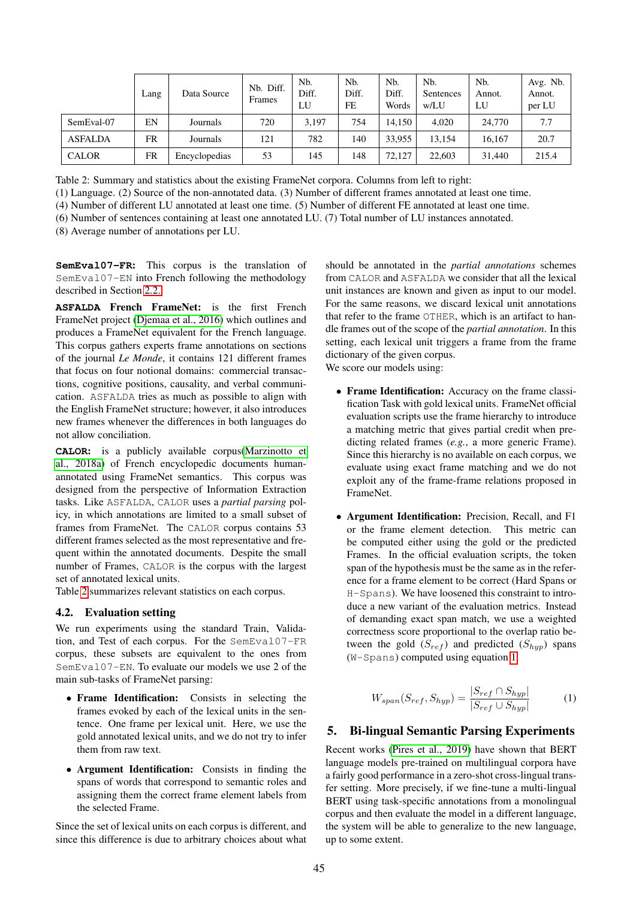|                | Lang | Data Source   | Nb. Diff.<br>Frames | Nb.<br>Diff.<br>LU | N <sub>b</sub><br>Diff.<br>FE | N <sub>b</sub><br>Diff.<br>Words | N <sub>b</sub><br>Sentences<br>w/LU | Nb.<br>Annot.<br>LU | Avg. Nb.<br>Annot.<br>per LU |
|----------------|------|---------------|---------------------|--------------------|-------------------------------|----------------------------------|-------------------------------------|---------------------|------------------------------|
| SemEval-07     | EN   | Journals      | 720                 | 3.197              | 754                           | 14.150                           | 4.020                               | 24,770              | 7.7                          |
| <b>ASFALDA</b> | FR   | Journals      | 121                 | 782                | 140                           | 33.955                           | 13.154                              | 16.167              | 20.7                         |
| <b>CALOR</b>   | FR   | Encyclopedias | 53                  | 145                | 148                           | 72.127                           | 22,603                              | 31,440              | 215.4                        |

<span id="page-4-0"></span>Table 2: Summary and statistics about the existing FrameNet corpora. Columns from left to right:

(1) Language. (2) Source of the non-annotated data. (3) Number of different frames annotated at least one time.

(4) Number of different LU annotated at least one time. (5) Number of different FE annotated at least one time.

(6) Number of sentences containing at least one annotated LU. (7) Total number of LU instances annotated.

(8) Average number of annotations per LU.

**SemEval07-FR**: This corpus is the translation of SemEval07-EN into French following the methodology described in Section [2.2.](#page-1-4)

**ASFALDA** French FrameNet: is the first French FrameNet project [\(Djemaa et al., 2016\)](#page-6-17) which outlines and produces a FrameNet equivalent for the French language. This corpus gathers experts frame annotations on sections of the journal *Le Monde*, it contains 121 different frames that focus on four notional domains: commercial transactions, cognitive positions, causality, and verbal communication. ASFALDA tries as much as possible to align with the English FrameNet structure; however, it also introduces new frames whenever the differences in both languages do not allow conciliation.

**CALOR**: is a publicly available corpus[\(Marzinotto et](#page-6-18) [al., 2018a\)](#page-6-18) of French encyclopedic documents humanannotated using FrameNet semantics. This corpus was designed from the perspective of Information Extraction tasks. Like ASFALDA, CALOR uses a *partial parsing* policy, in which annotations are limited to a small subset of frames from FrameNet. The CALOR corpus contains 53 different frames selected as the most representative and frequent within the annotated documents. Despite the small number of Frames, CALOR is the corpus with the largest set of annotated lexical units.

Table [2](#page-4-0) summarizes relevant statistics on each corpus.

#### <span id="page-4-2"></span>4.2. Evaluation setting

We run experiments using the standard Train, Validation, and Test of each corpus. For the SemEval07-FR corpus, these subsets are equivalent to the ones from SemEval07-EN. To evaluate our models we use 2 of the main sub-tasks of FrameNet parsing:

- Frame Identification: Consists in selecting the frames evoked by each of the lexical units in the sentence. One frame per lexical unit. Here, we use the gold annotated lexical units, and we do not try to infer them from raw text.
- Argument Identification: Consists in finding the spans of words that correspond to semantic roles and assigning them the correct frame element labels from the selected Frame.

Since the set of lexical units on each corpus is different, and since this difference is due to arbitrary choices about what

should be annotated in the *partial annotations* schemes from CALOR and ASFALDA we consider that all the lexical unit instances are known and given as input to our model. For the same reasons, we discard lexical unit annotations that refer to the frame OTHER, which is an artifact to handle frames out of the scope of the *partial annotation*. In this setting, each lexical unit triggers a frame from the frame dictionary of the given corpus.

We score our models using:

- Frame Identification: Accuracy on the frame classification Task with gold lexical units. FrameNet official evaluation scripts use the frame hierarchy to introduce a matching metric that gives partial credit when predicting related frames (*e.g.*, a more generic Frame). Since this hierarchy is no available on each corpus, we evaluate using exact frame matching and we do not exploit any of the frame-frame relations proposed in FrameNet.
- Argument Identification: Precision, Recall, and F1 or the frame element detection. This metric can be computed either using the gold or the predicted Frames. In the official evaluation scripts, the token span of the hypothesis must be the same as in the reference for a frame element to be correct (Hard Spans or H-Spans). We have loosened this constraint to introduce a new variant of the evaluation metrics. Instead of demanding exact span match, we use a weighted correctness score proportional to the overlap ratio between the gold  $(S_{ref})$  and predicted  $(S_{hvp})$  spans (W-Spans) computed using equation [1.](#page-4-1)

<span id="page-4-1"></span>
$$
W_{span}(S_{ref}, S_{hyp}) = \frac{|S_{ref} \cap S_{hyp}|}{|S_{ref} \cup S_{hyp}|}
$$
 (1)

# 5. Bi-lingual Semantic Parsing Experiments

Recent works [\(Pires et al., 2019\)](#page-6-19) have shown that BERT language models pre-trained on multilingual corpora have a fairly good performance in a zero-shot cross-lingual transfer setting. More precisely, if we fine-tune a multi-lingual BERT using task-specific annotations from a monolingual corpus and then evaluate the model in a different language, the system will be able to generalize to the new language, up to some extent.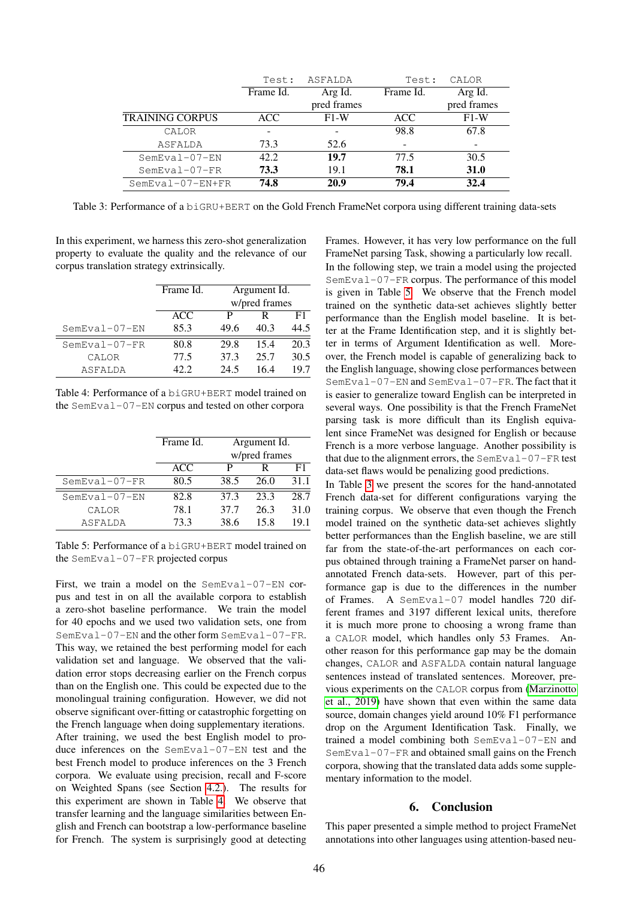|                        | Test:     | ASFALDA     | Test:                    | CALOR       |
|------------------------|-----------|-------------|--------------------------|-------------|
|                        | Frame Id. | Arg Id.     | Frame Id.                | Arg Id.     |
|                        |           | pred frames |                          | pred frames |
| <b>TRAINING CORPUS</b> | ACC.      | $F1-W$      | ACC                      | $F1-W$      |
| CALOR                  |           |             | 98.8                     | 67.8        |
| ASFALDA                | 73.3      | 52.6        | $\overline{\phantom{a}}$ |             |
| $SemEval-07-EN$        | 42.2      | 19.7        | 77.5                     | 30.5        |
| $SemEval-07-FR$        | 73.3      | 19.1        | 78.1                     | <b>31.0</b> |
| $SemEval-07-EN+FR$     | 74.8      | 20.9        | 79.4                     | 32.4        |

<span id="page-5-2"></span>Table 3: Performance of a biGRU+BERT on the Gold French FrameNet corpora using different training data-sets

In this experiment, we harness this zero-shot generalization property to evaluate the quality and the relevance of our corpus translation strategy extrinsically.

|                 | Frame Id. | Argument Id.  |      |      |  |
|-----------------|-----------|---------------|------|------|--|
|                 |           | w/pred frames |      |      |  |
|                 | ACC       | р             | R    | F1   |  |
| $SemEval-07-EN$ | 85.3      | 49.6          | 40.3 | 44.5 |  |
| $SemEval-07-FR$ | 80.8      | 29.8          | 15.4 | 20.3 |  |
| CALOR           | 77.5      | 37.3          | 25.7 | 30.5 |  |
| ASFALDA         | 42 Z      | 24.5          | 16.4 | 19.7 |  |

<span id="page-5-0"></span>Table 4: Performance of a biGRU+BERT model trained on the SemEval-07-EN corpus and tested on other corpora

|                 | Frame Id. | Argument Id.  |      |      |  |
|-----------------|-----------|---------------|------|------|--|
|                 |           | w/pred frames |      |      |  |
|                 | ACC       | P             | R    | F1   |  |
| $SemEval-07-FR$ | 80.5      | 38.5          | 26.0 | 31.1 |  |
| $SemEval-07-EN$ | 82.8      | 37.3          | 23.3 | 28.7 |  |
| CALOR           | 78.1      | 37.7          | 26.3 | 31.0 |  |
| ASFALDA         | 73.3      | 38.6          | 15.8 | 191  |  |

<span id="page-5-1"></span>Table 5: Performance of a biGRU+BERT model trained on the SemEval-07-FR projected corpus

First, we train a model on the SemEval-07-EN corpus and test in on all the available corpora to establish a zero-shot baseline performance. We train the model for 40 epochs and we used two validation sets, one from SemEval-07-EN and the other form SemEval-07-FR. This way, we retained the best performing model for each validation set and language. We observed that the validation error stops decreasing earlier on the French corpus than on the English one. This could be expected due to the monolingual training configuration. However, we did not observe significant over-fitting or catastrophic forgetting on the French language when doing supplementary iterations. After training, we used the best English model to produce inferences on the SemEval-07-EN test and the best French model to produce inferences on the 3 French corpora. We evaluate using precision, recall and F-score on Weighted Spans (see Section [4.2.\)](#page-4-2). The results for this experiment are shown in Table [4.](#page-5-0) We observe that transfer learning and the language similarities between English and French can bootstrap a low-performance baseline for French. The system is surprisingly good at detecting Frames. However, it has very low performance on the full FrameNet parsing Task, showing a particularly low recall.

In the following step, we train a model using the projected SemEval-07-FR corpus. The performance of this model is given in Table [5.](#page-5-1) We observe that the French model trained on the synthetic data-set achieves slightly better performance than the English model baseline. It is better at the Frame Identification step, and it is slightly better in terms of Argument Identification as well. Moreover, the French model is capable of generalizing back to the English language, showing close performances between SemEval-07-EN and SemEval-07-FR. The fact that it is easier to generalize toward English can be interpreted in several ways. One possibility is that the French FrameNet parsing task is more difficult than its English equivalent since FrameNet was designed for English or because French is a more verbose language. Another possibility is that due to the alignment errors, the SemEval-07-FR test data-set flaws would be penalizing good predictions.

In Table [3](#page-5-2) we present the scores for the hand-annotated French data-set for different configurations varying the training corpus. We observe that even though the French model trained on the synthetic data-set achieves slightly better performances than the English baseline, we are still far from the state-of-the-art performances on each corpus obtained through training a FrameNet parser on handannotated French data-sets. However, part of this performance gap is due to the differences in the number of Frames. A SemEval-07 model handles 720 different frames and 3197 different lexical units, therefore it is much more prone to choosing a wrong frame than a CALOR model, which handles only 53 Frames. Another reason for this performance gap may be the domain changes, CALOR and ASFALDA contain natural language sentences instead of translated sentences. Moreover, previous experiments on the CALOR corpus from [\(Marzinotto](#page-6-15) [et al., 2019\)](#page-6-15) have shown that even within the same data source, domain changes yield around 10% F1 performance drop on the Argument Identification Task. Finally, we trained a model combining both SemEval-07-EN and SemEval-07-FR and obtained small gains on the French corpora, showing that the translated data adds some supplementary information to the model.

#### 6. Conclusion

This paper presented a simple method to project FrameNet annotations into other languages using attention-based neu